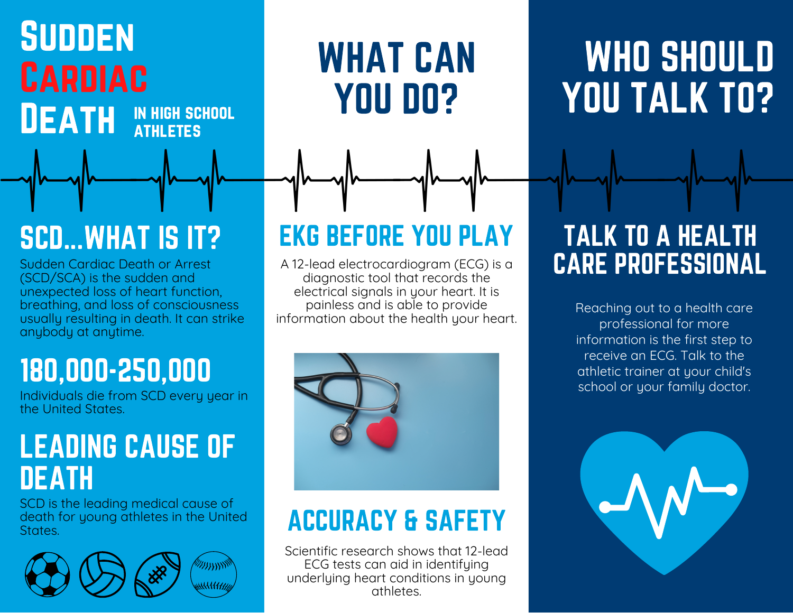### **SUDDEN** Cardiac **DEATH** in high school **ATHLETES**

# WHAT CAN YOU DO?

# WHO SHOULD YOU TALK TO?

# SCD...WHAT IS IT?

Sudden Cardiac Death or Arrest (SCD/SCA) is the sudden and unexpected loss of heart function, breathing, and loss of consciousness usually resulting in death. It can strike anybody at anytime.

# 180,000-250,000

Individuals die from SCD every year in the United States.

### LEADING CAUSE OF **DEATH**

SCD is the leading medical cause of death for young athletes in the United States.



# EKG BEFORE YOU PLAY

A 12-lead electrocardiogram (ECG) is a diagnostic tool that records the electrical signals in your heart. It is painless and is able to provide information about the health your heart.



## ACCURACY & SAFETY

Scientific research shows that 12-lead ECG tests can aid in identifying underlying heart conditions in young athletes.

### TALK TO A HEALTH CARE PROFESSIONAL

Reaching out to a health care professional for more information is the first step to receive an ECG. Talk to the athletic trainer at your child's school or your family doctor.